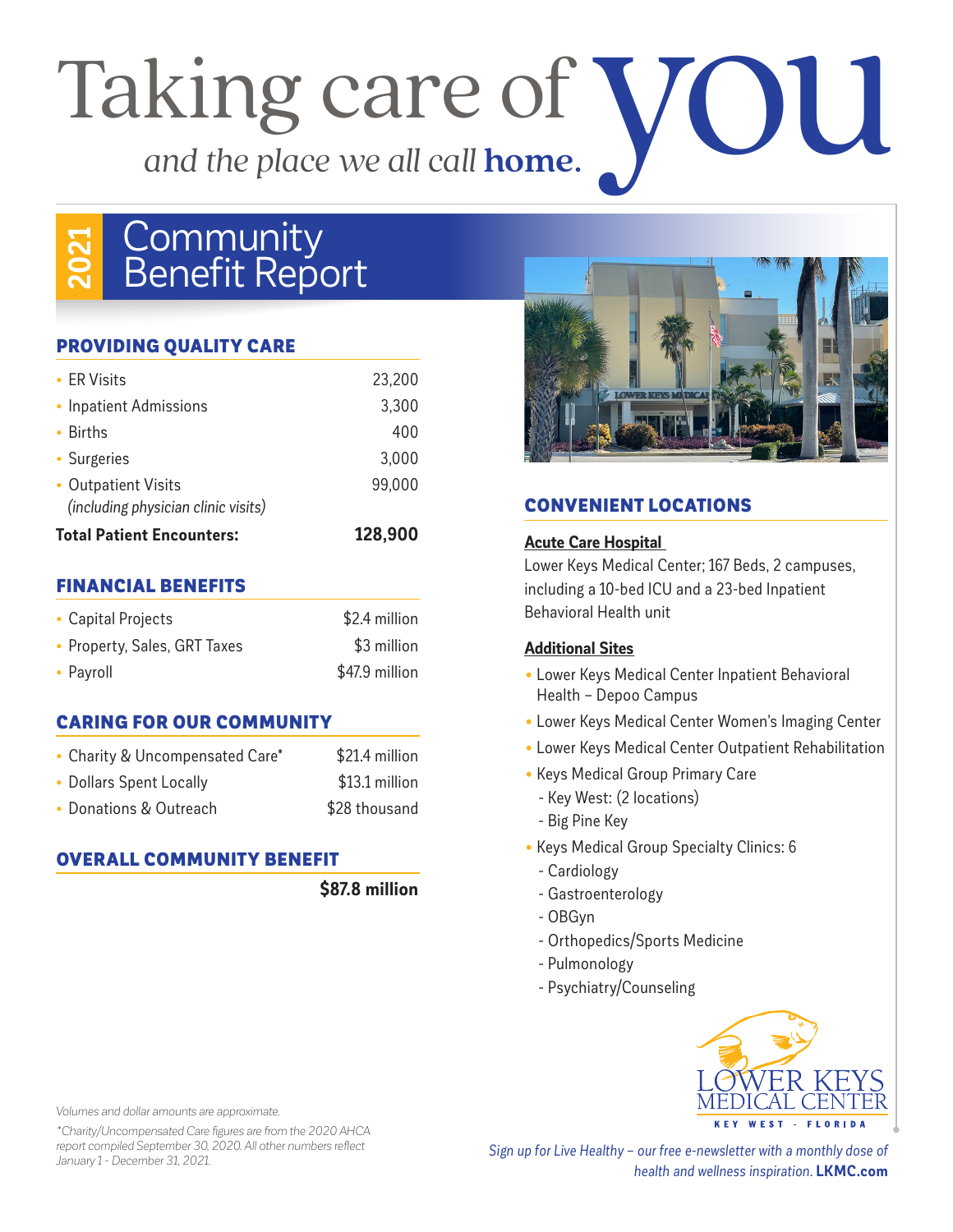# Taking care of *and the place we all call* **home**. you

# **2021 Community Benefit Report**

### PROVIDING QUALITY CARE

| • FR Visits                         | 23,200  |
|-------------------------------------|---------|
| • Inpatient Admissions              | 3,300   |
| • Births                            | 400     |
| • Surgeries                         | 3,000   |
| • Outpatient Visits                 | 99,000  |
| (including physician clinic visits) |         |
| <b>Total Patient Encounters:</b>    | 128,900 |

### FINANCIAL BENEFITS

| • Capital Projects           | \$2.4 million  |
|------------------------------|----------------|
| • Property, Sales, GRT Taxes | \$3 million    |
| • Payroll                    | \$47.9 million |

### CARING FOR OUR COMMUNITY

| • Charity & Uncompensated Care* | \$21.4 million |
|---------------------------------|----------------|
| • Dollars Spent Locally         | \$13.1 million |
| • Donations & Outreach          | \$28 thousand  |

### OVERALL COMMUNITY BENEFIT

**\$87.8 million**



## CONVENIENT LOCATIONS

### **Acute Care Hospital**

Lower Keys Medical Center; 167 Beds, 2 campuses, including a 10-bed ICU and a 23-bed Inpatient Behavioral Health unit

### **Additional Sites**

- Lower Keys Medical Center Inpatient Behavioral Health – Depoo Campus
- Lower Keys Medical Center Women's Imaging Center
- Lower Keys Medical Center Outpatient Rehabilitation
- Keys Medical Group Primary Care
	- Key West: (2 locations)
	- Big Pine Key
- Keys Medical Group Specialty Clinics: 6
- Cardiology
- Gastroenterology
- OBGyn
- Orthopedics/Sports Medicine
- Pulmonology
- Psychiatry/Counseling



*Volumes and dollar amounts are approximate.* 

*\*Charity/Uncompensated Care figures are from the 2020 AHCA report compiled September 30, 2020. All other numbers reflect January 1 - December 31, 2021.* 

*Sign up for Live Healthy – our free e-newsletter with a monthly dose of health and wellness inspiration.* **LKMC.com**